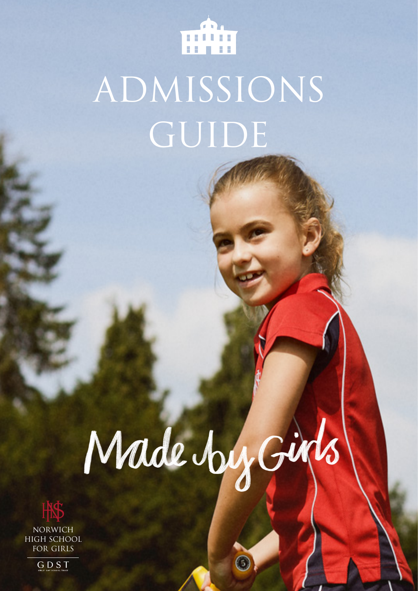

## ADMISSIONS GUIDE

# Made by Girls

G



NORWICH HIGH SCHOOL FOR GIRLS

GDST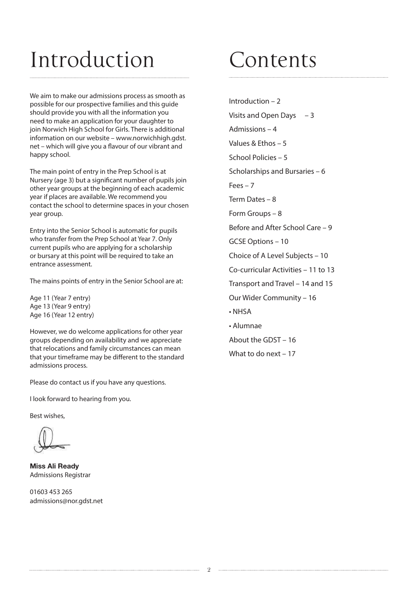### Introduction

We aim to make our admissions process as smooth as possible for our prospective families and this guide should provide you with all the information you need to make an application for your daughter to join Norwich High School for Girls. There is additional information on our website – www.norwichhigh.gdst. net – which will give you a flavour of our vibrant and happy school.

The main point of entry in the Prep School is at Nursery (age 3) but a significant number of pupils join other year groups at the beginning of each academic year if places are available. We recommend you contact the school to determine spaces in your chosen year group.

Entry into the Senior School is automatic for pupils who transfer from the Prep School at Year 7. Only current pupils who are applying for a scholarship or bursary at this point will be required to take an entrance assessment.

The mains points of entry in the Senior School are at:

Age 11 (Year 7 entry) Age 13 (Year 9 entry) Age 16 (Year 12 entry)

However, we do welcome applications for other year groups depending on availability and we appreciate that relocations and family circumstances can mean that your timeframe may be different to the standard admissions process.

Please do contact us if you have any questions.

I look forward to hearing from you.

Best wishes,

Miss Ali Ready Admissions Registrar

01603 453 265 admissions@nor.gdst.net

### Contents

Introduction – 2 Visits and Open Days – 3 Admissions – 4 Values & Ethos – 5 School Policies – 5 Scholarships and Bursaries – 6  $F\rho\rho s - 7$ Term Dates – 8 Form Groups – 8 Before and After School Care – 9 GCSE Options – 10 Choice of A Level Subjects – 10 Co-curricular Activities – 11 to 13 Transport and Travel – 14 and 15 Our Wider Community – 16 • NHSA • Alumnae About the GDST – 16

What to do next – 17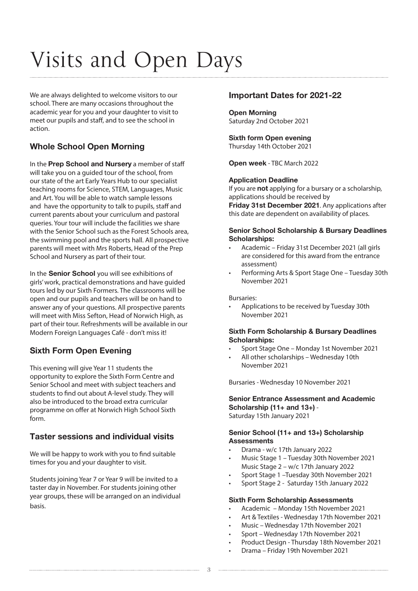### Visits and Open Days

We are always delighted to welcome visitors to our school. There are many occasions throughout the academic year for you and your daughter to visit to meet our pupils and staff, and to see the school in action.

### Whole School Open Morning

In the Prep School and Nursery a member of staff will take you on a guided tour of the school, from our state of the art Early Years Hub to our specialist teaching rooms for Science, STEM, Languages, Music and Art. You will be able to watch sample lessons and have the opportunity to talk to pupils, staff and current parents about your curriculum and pastoral queries. Your tour will include the facilities we share with the Senior School such as the Forest Schools area, the swimming pool and the sports hall. All prospective parents will meet with Mrs Roberts, Head of the Prep School and Nursery as part of their tour.

In the Senior School you will see exhibitions of girls' work, practical demonstrations and have guided tours led by our Sixth Formers. The classrooms will be open and our pupils and teachers will be on hand to answer any of your questions. All prospective parents will meet with Miss Sefton, Head of Norwich High, as part of their tour. Refreshments will be available in our Modern Foreign Languages Café - don't miss it!

### Sixth Form Open Evening

This evening will give Year 11 students the opportunity to explore the Sixth Form Centre and Senior School and meet with subject teachers and students to find out about A-level study. They will also be introduced to the broad extra curricular programme on offer at Norwich High School Sixth form.

### Taster sessions and individual visits

We will be happy to work with you to find suitable times for you and your daughter to visit.

Students joining Year 7 or Year 9 will be invited to a taster day in November. For students joining other year groups, these will be arranged on an individual basis.

### Important Dates for 2021-22

#### Open Morning Saturday 2nd October 2021

#### Sixth form Open evening Thursday 14th October 2021

Open week - TBC March 2022

#### Application Deadline

If you are **not** applying for a bursary or a scholarship, applications should be received by

Friday 31st December 2021. Any applications after this date are dependent on availability of places.

#### Senior School Scholarship & Bursary Deadlines Scholarships:

- Academic Friday 31st December 2021 (all girls are considered for this award from the entrance assessment)
- Performing Arts & Sport Stage One Tuesday 30th November 2021

Bursaries:

• Applications to be received by Tuesday 30th November 2021

#### Sixth Form Scholarship & Bursary Deadlines Scholarships:

- Sport Stage One Monday 1st November 2021
- All other scholarships Wednesday 10th November 2021

Bursaries - Wednesday 10 November 2021

#### Senior Entrance Assessment and Academic Scholarship (11+ and 13+) -Saturday 15th January 2021

#### Senior School (11+ and 13+) Scholarship **Assessments**

- Drama w/c 17th January 2022
- Music Stage 1 Tuesday 30th November 2021 Music Stage 2 – w/c 17th January 2022
- Sport Stage 1 –Tuesday 30th November 2021
- Sport Stage 2 Saturday 15th January 2022

#### Sixth Form Scholarship Assessments

- Academic Monday 15th November 2021
- Art & Textiles Wednesday 17th November 2021
- Music Wednesday 17th November 2021
- Sport Wednesday 17th November 2021
- Product Design Thursday 18th November 2021
- Drama Friday 19th November 2021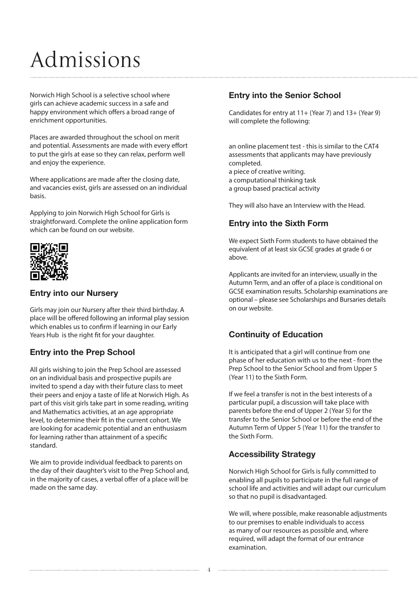### Admissions

Norwich High School is a selective school where girls can achieve academic success in a safe and happy environment which offers a broad range of enrichment opportunities.

Places are awarded throughout the school on merit and potential. Assessments are made with every effort to put the girls at ease so they can relax, perform well and enjoy the experience.

Where applications are made after the closing date, and vacancies exist, girls are assessed on an individual basis.

Applying to join Norwich High School for Girls is straightforward. Complete the online application form which can be found on our website.



### Entry into our Nursery

Girls may join our Nursery after their third birthday. A place will be offered following an informal play session which enables us to confirm if learning in our Early Years Hub is the right fit for your daughter.

### Entry into the Prep School

All girls wishing to join the Prep School are assessed on an individual basis and prospective pupils are invited to spend a day with their future class to meet their peers and enjoy a taste of life at Norwich High. As part of this visit girls take part in some reading, writing and Mathematics activities, at an age appropriate level, to determine their fit in the current cohort. We are looking for academic potential and an enthusiasm for learning rather than attainment of a specific standard.

We aim to provide individual feedback to parents on the day of their daughter's visit to the Prep School and, in the majority of cases, a verbal offer of a place will be made on the same day.

### Entry into the Senior School

Candidates for entry at 11+ (Year 7) and 13+ (Year 9) will complete the following:

an online placement test - this is similar to the CAT4 assessments that applicants may have previously completed. a piece of creative writing.

a computational thinking task

a group based practical activity

They will also have an Interview with the Head.

### Entry into the Sixth Form

We expect Sixth Form students to have obtained the equivalent of at least six GCSE grades at grade 6 or above.

Applicants are invited for an interview, usually in the Autumn Term, and an offer of a place is conditional on GCSE examination results. Scholarship examinations are optional – please see Scholarships and Bursaries details on our website.

### Continuity of Education

It is anticipated that a girl will continue from one phase of her education with us to the next - from the Prep School to the Senior School and from Upper 5 (Year 11) to the Sixth Form.

If we feel a transfer is not in the best interests of a particular pupil, a discussion will take place with parents before the end of Upper 2 (Year 5) for the transfer to the Senior School or before the end of the Autumn Term of Upper 5 (Year 11) for the transfer to the Sixth Form.

### Accessibility Strategy

Norwich High School for Girls is fully committed to enabling all pupils to participate in the full range of school life and activities and will adapt our curriculum so that no pupil is disadvantaged.

We will, where possible, make reasonable adjustments to our premises to enable individuals to access as many of our resources as possible and, where required, will adapt the format of our entrance examination.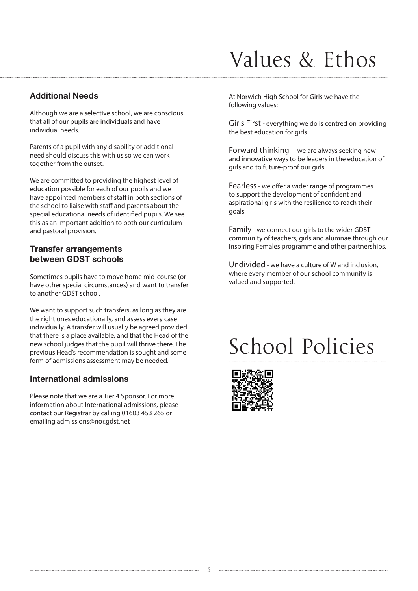### Values & Ethos

### Additional Needs

Although we are a selective school, we are conscious that all of our pupils are individuals and have individual needs.

Parents of a pupil with any disability or additional need should discuss this with us so we can work together from the outset.

We are committed to providing the highest level of education possible for each of our pupils and we have appointed members of staff in both sections of the school to liaise with staff and parents about the special educational needs of identified pupils. We see this as an important addition to both our curriculum and pastoral provision.

### Transfer arrangements between GDST schools

Sometimes pupils have to move home mid-course (or have other special circumstances) and want to transfer to another GDST school.

We want to support such transfers, as long as they are the right ones educationally, and assess every case individually. A transfer will usually be agreed provided that there is a place available, and that the Head of the new school judges that the pupil will thrive there. The previous Head's recommendation is sought and some form of admissions assessment may be needed.

### International admissions

Please note that we are a Tier 4 Sponsor. For more information about International admissions, please contact our Registrar by calling 01603 453 265 or emailing admissions@nor.gdst.net

At Norwich High School for Girls we have the following values:

Girls First - everything we do is centred on providing the best education for girls

Forward thinking - we are always seeking new and innovative ways to be leaders in the education of girls and to future-proof our girls.

Fearless - we offer a wider range of programmes to support the development of confident and aspirational girls with the resilience to reach their goals.

Family - we connect our girls to the wider GDST community of teachers, girls and alumnae through our Inspiring Females programme and other partnerships.

Undivided - we have a culture of W and inclusion, where every member of our school community is valued and supported.

### School Policies

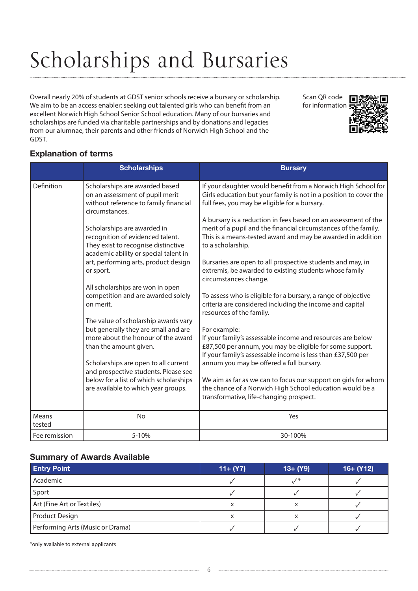### Scholarships and Bursaries

Overall nearly 20% of students at GDST senior schools receive a bursary or scholarship. We aim to be an access enabler: seeking out talented girls who can benefit from an excellent Norwich High School Senior School education. Many of our bursaries and scholarships are funded via charitable partnerships and by donations and legacies from our alumnae, their parents and other friends of Norwich High School and the GDST.

Scan QR code for information



### Explanation of terms

|                 | <b>Scholarships</b>                                                                                                                                                                                                                                                                                           | <b>Bursary</b>                                                                                                                                                                                                                                                                                                                                                                  |
|-----------------|---------------------------------------------------------------------------------------------------------------------------------------------------------------------------------------------------------------------------------------------------------------------------------------------------------------|---------------------------------------------------------------------------------------------------------------------------------------------------------------------------------------------------------------------------------------------------------------------------------------------------------------------------------------------------------------------------------|
| Definition      | Scholarships are awarded based<br>on an assessment of pupil merit<br>without reference to family financial<br>circumstances.                                                                                                                                                                                  | If your daughter would benefit from a Norwich High School for<br>Girls education but your family is not in a position to cover the<br>full fees, you may be eligible for a bursary.                                                                                                                                                                                             |
|                 | Scholarships are awarded in<br>recognition of evidenced talent.<br>They exist to recognise distinctive<br>academic ability or special talent in                                                                                                                                                               | A bursary is a reduction in fees based on an assessment of the<br>merit of a pupil and the financial circumstances of the family.<br>This is a means-tested award and may be awarded in addition<br>to a scholarship.                                                                                                                                                           |
|                 | art, performing arts, product design<br>or sport.                                                                                                                                                                                                                                                             | Bursaries are open to all prospective students and may, in<br>extremis, be awarded to existing students whose family<br>circumstances change.                                                                                                                                                                                                                                   |
|                 | All scholarships are won in open<br>competition and are awarded solely<br>on merit.                                                                                                                                                                                                                           | To assess who is eligible for a bursary, a range of objective<br>criteria are considered including the income and capital<br>resources of the family.                                                                                                                                                                                                                           |
|                 | The value of scholarship awards vary<br>but generally they are small and are<br>more about the honour of the award<br>than the amount given.<br>Scholarships are open to all current<br>and prospective students. Please see<br>below for a list of which scholarships<br>are available to which year groups. | For example:<br>If your family's assessable income and resources are below<br>£87,500 per annum, you may be eligible for some support.<br>If your family's assessable income is less than £37,500 per<br>annum you may be offered a full bursary.<br>We aim as far as we can to focus our support on girls for whom<br>the chance of a Norwich High School education would be a |
|                 |                                                                                                                                                                                                                                                                                                               | transformative, life-changing prospect.                                                                                                                                                                                                                                                                                                                                         |
| Means<br>tested | <b>No</b>                                                                                                                                                                                                                                                                                                     | Yes                                                                                                                                                                                                                                                                                                                                                                             |
| Fee remission   | 5-10%                                                                                                                                                                                                                                                                                                         | 30-100%                                                                                                                                                                                                                                                                                                                                                                         |

### Summary of Awards Available

| <b>Entry Point</b>               | $11 + (Y7)$ | $13+ (Y9)$ | $16+ (Y12)$ |
|----------------------------------|-------------|------------|-------------|
| Academic                         |             |            |             |
| Sport                            |             |            |             |
| Art (Fine Art or Textiles)       | ᄉ           | ⌒          |             |
| Product Design                   | х           | ∧          |             |
| Performing Arts (Music or Drama) |             |            |             |

\*only available to external applicants

6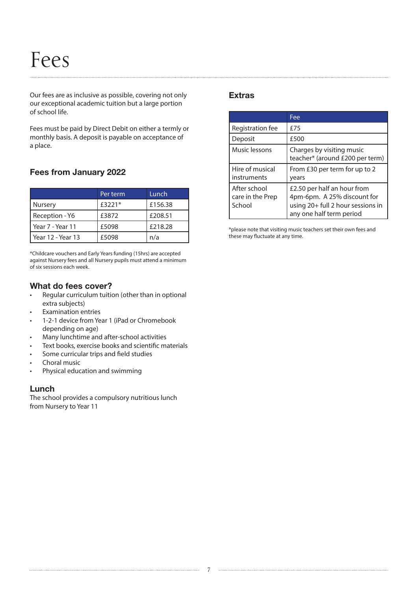### Fees

Our fees are as inclusive as possible, covering not only our exceptional academic tuition but a large portion of school life.

Fees must be paid by Direct Debit on either a termly or monthly basis. A deposit is payable on acceptance of a place.

### Fees from January 2022

|                   | Per term | Lunch   |
|-------------------|----------|---------|
| Nursery           | £3221*   | £156.38 |
| Reception - Y6    | £3872    | £208.51 |
| Year 7 - Year 11  | £5098    | £218.28 |
| Year 12 - Year 13 | £5098    | n/a     |

\*Childcare vouchers and Early Years funding (15hrs) are accepted against Nursery fees and all Nursery pupils must attend a minimum of six sessions each week.

### What do fees cover?

- Regular curriculum tuition (other than in optional extra subjects)
- **Examination entries**
- 1-2-1 device from Year 1 (iPad or Chromebook depending on age)
- Many lunchtime and after-school activities
- Text books, exercise books and scientific materials
- Some curricular trips and field studies
- Choral music
- Physical education and swimming

### Lunch

The school provides a compulsory nutritious lunch from Nursery to Year 11

### Extras

|                                            | Fee                                                                                                                         |
|--------------------------------------------|-----------------------------------------------------------------------------------------------------------------------------|
| Registration fee                           | <b>£75</b>                                                                                                                  |
| Deposit                                    | £500                                                                                                                        |
| Music lessons                              | Charges by visiting music<br>teacher* (around £200 per term)                                                                |
| Hire of musical<br>instruments             | From £30 per term for up to 2<br>years                                                                                      |
| After school<br>care in the Prep<br>School | £2.50 per half an hour from<br>4pm-6pm. A 25% discount for<br>using 20+ full 2 hour sessions in<br>any one half term period |

\*please note that visiting music teachers set their own fees and these may fluctuate at any time.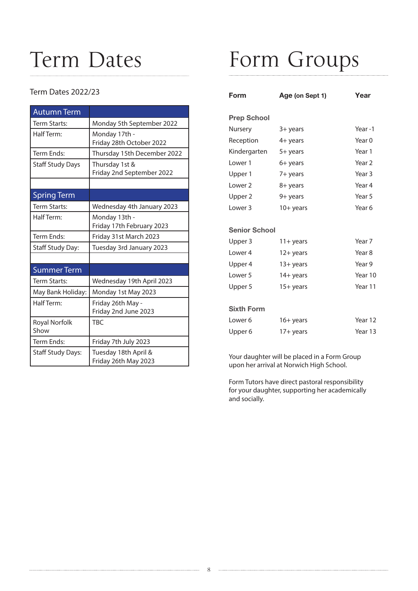### Term Dates

### Term Dates 2022/23

| <b>Autumn Term</b>           |                                              |
|------------------------------|----------------------------------------------|
| Term Starts:                 | Monday 5th September 2022                    |
| Half Term:                   | Monday 17th -<br>Friday 28th October 2022    |
| Term Ends:                   | Thursday 15th December 2022                  |
| <b>Staff Study Days</b>      | Thursday 1st &<br>Friday 2nd September 2022  |
|                              |                                              |
| <b>Spring Term</b>           |                                              |
| Term Starts:                 | Wednesday 4th January 2023                   |
| Half Term:                   | Monday 13th -<br>Friday 17th February 2023   |
| Term Ends:                   | Friday 31st March 2023                       |
| Staff Study Day:             | Tuesday 3rd January 2023                     |
|                              |                                              |
| <b>Summer Term</b>           |                                              |
| Term Starts:                 | Wednesday 19th April 2023                    |
| May Bank Holiday:            | Monday 1st May 2023                          |
| Half Term:                   | Friday 26th May -<br>Friday 2nd June 2023    |
| <b>Royal Norfolk</b><br>Show | <b>TBC</b>                                   |
| Term Ends:                   | Friday 7th July 2023                         |
| <b>Staff Study Days:</b>     | Tuesday 18th April &<br>Friday 26th May 2023 |

### Form Groups

| Form                 | Age (on Sept 1) | Year              |
|----------------------|-----------------|-------------------|
| <b>Prep School</b>   |                 |                   |
| Nursery              | 3+ years        | Year-1            |
| Reception            | 4+ years        | Year 0            |
| Kindergarten         | 5+ years        | Year 1            |
| l ower 1             | 6+ years        | Year <sub>2</sub> |
| Upper 1              | 7+ years        | Year <sub>3</sub> |
| Lower <sub>2</sub>   | 8+ years        | Year 4            |
| Upper 2              | 9+ years        | Year 5            |
| l ower 3             | $10+$ years     | Year 6            |
|                      |                 |                   |
| <b>Senior School</b> |                 |                   |
| Upper 3              | 11+ years       | Year <sub>7</sub> |
| Lower 4              | $12 + years$    | Year 8            |
| Upper 4              | $13 + years$    | Year 9            |
| Lower <sub>5</sub>   | 14+ years       | Year 10           |
| Upper 5              | $15+$ years     | Year 11           |
|                      |                 |                   |
| <b>Sixth Form</b>    |                 |                   |
| Lower 6              | 16+ years       | Year 12           |
| Upper 6              | 17+ years       | Year 13           |
|                      |                 |                   |

Your daughter will be placed in a Form Group upon her arrival at Norwich High School.

Form Tutors have direct pastoral responsibility for your daughter, supporting her academically and socially.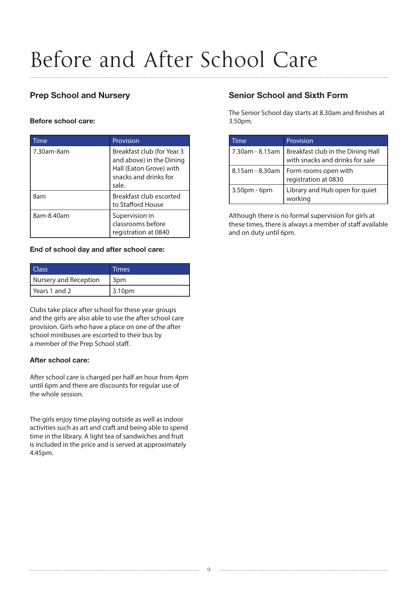### Before and After School Care

### Prep School and Nursery

#### Before school care:

| Time       | Provision                                                                                                           |
|------------|---------------------------------------------------------------------------------------------------------------------|
| 7.30am-8am | Breakfast club (for Year 3<br>and above) in the Dining<br>Hall (Eaton Grove) with<br>snacks and drinks for<br>sale. |
| 8am        | Breakfast club escorted<br>to Stafford House                                                                        |
| 8am-8.40am | Supervision in<br>classrooms before<br>registration at 0840                                                         |

#### End of school day and after school care:

| l Class               | Times  |
|-----------------------|--------|
| Nursery and Reception | 3pm    |
| l Years 1 and 2       | 3.10pm |

Clubs take place after school for these year groups and the girls are also able to use the after school care provision. Girls who have a place on one of the after school minibuses are escorted to their bus by a member of the Prep School staff.

### After school care:

After school care is charged per half an hour from 4pm until 6pm and there are discounts for regular use of the whole session.

The girls enjoy time playing outside as well as indoor activities such as art and craft and being able to spend time in the library. A light tea of sandwiches and fruit is included in the price and is served at approximately 4.45pm.

### Senior School and Sixth Form

The Senior School day starts at 8.30am and finishes at 3.50pm.

| Time            | Provision                                                            |
|-----------------|----------------------------------------------------------------------|
| 7.30am - 8.15am | Breakfast club in the Dining Hall<br>with snacks and drinks for sale |
| 8.15am - 8.30am | Form rooms open with<br>registration at 0830                         |
| 3.50pm - 6pm    | Library and Hub open for quiet<br>working                            |

Although there is no formal supervision for girls at these times, there is always a member of staff available and on duty until 6pm.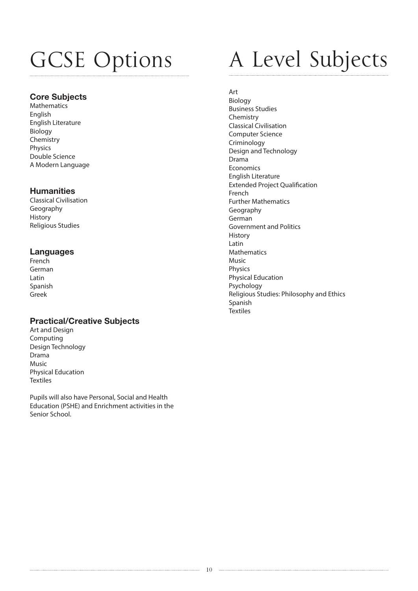### GCSE Options

### Core Subjects

**Mathematics** English English Literature Biology Chemistry Physics Double Science A Modern Language

### **Humanities**

Classical Civilisation Geography History Religious Studies

### Languages

French German Latin Spanish Greek

### Practical/Creative Subjects

Art and Design Computing Design Technology Drama Music Physical Education **Textiles** 

Pupils will also have Personal, Social and Health Education (PSHE) and Enrichment activities in the Senior School.

### A Level Subjects

Art

Biology Business Studies Chemistry Classical Civilisation Computer Science Criminology Design and Technology Drama Economics English Literature Extended Project Qualification French Further Mathematics Geography German Government and Politics History Latin Mathematics Music Physics Physical Education Psychology Religious Studies: Philosophy and Ethics Spanish **Textiles**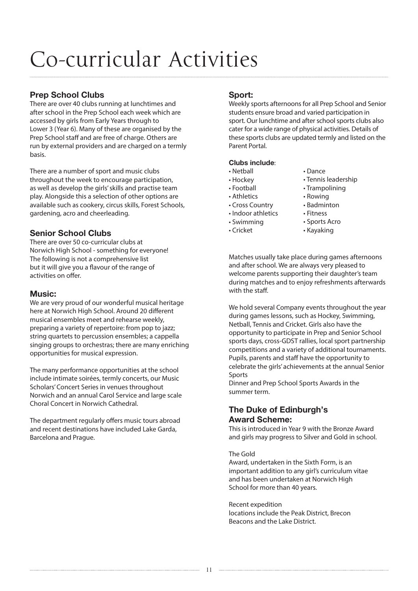### Co-curricular Activities

### Prep School Clubs

There are over 40 clubs running at lunchtimes and after school in the Prep School each week which are accessed by girls from Early Years through to Lower 3 (Year 6). Many of these are organised by the Prep School staff and are free of charge. Others are run by external providers and are charged on a termly basis.

There are a number of sport and music clubs throughout the week to encourage participation, as well as develop the girls' skills and practise team play. Alongside this a selection of other options are available such as cookery, circus skills, Forest Schools, gardening, acro and cheerleading.

### Senior School Clubs

There are over 50 co-curricular clubs at Norwich High School - something for everyone! The following is not a comprehensive list but it will give you a flavour of the range of activities on offer.

### Music:

We are very proud of our wonderful musical heritage here at Norwich High School. Around 20 different musical ensembles meet and rehearse weekly, preparing a variety of repertoire: from pop to jazz; string quartets to percussion ensembles; a cappella singing groups to orchestras; there are many enriching opportunities for musical expression.

The many performance opportunities at the school include intimate soirées, termly concerts, our Music Scholars' Concert Series in venues throughout Norwich and an annual Carol Service and large scale Choral Concert in Norwich Cathedral.

The department regularly offers music tours abroad and recent destinations have included Lake Garda, Barcelona and Prague.

### Sport:

Weekly sports afternoons for all Prep School and Senior students ensure broad and varied participation in sport. Our lunchtime and after school sports clubs also cater for a wide range of physical activities. Details of these sports clubs are updated termly and listed on the Parent Portal.

### Clubs include:

- Netball
- Hockey
- Football
- Athletics
- Cross Country
- Indoor athletics
- Swimming
- Cricket
- Dance
- Tennis leadership
- Trampolining
- Rowing
- Badminton
- Fitness
- Sports Acro
- Kayaking

Matches usually take place during games afternoons and after school. We are always very pleased to welcome parents supporting their daughter's team during matches and to enjoy refreshments afterwards with the staff.

We hold several Company events throughout the year during games lessons, such as Hockey, Swimming, Netball, Tennis and Cricket. Girls also have the opportunity to participate in Prep and Senior School sports days, cross-GDST rallies, local sport partnership competitions and a variety of additional tournaments. Pupils, parents and staff have the opportunity to celebrate the girls' achievements at the annual Senior Sports

Dinner and Prep School Sports Awards in the summer term.

### The Duke of Edinburgh's Award Scheme:

This is introduced in Year 9 with the Bronze Award and girls may progress to Silver and Gold in school.

#### The Gold

Award, undertaken in the Sixth Form, is an important addition to any girl's curriculum vitae and has been undertaken at Norwich High School for more than 40 years.

Recent expedition locations include the Peak District, Brecon Beacons and the Lake District.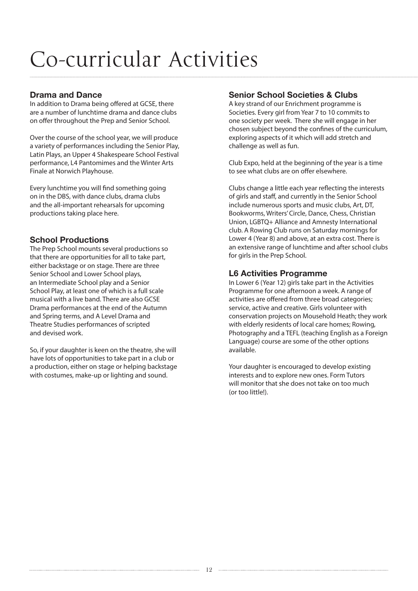### Co-curricular Activities

### Drama and Dance

In addition to Drama being offered at GCSE, there are a number of lunchtime drama and dance clubs on offer throughout the Prep and Senior School.

Over the course of the school year, we will produce a variety of performances including the Senior Play, Latin Plays, an Upper 4 Shakespeare School Festival performance, L4 Pantomimes and the Winter Arts Finale at Norwich Playhouse.

Every lunchtime you will find something going on in the DBS, with dance clubs, drama clubs and the all-important rehearsals for upcoming productions taking place here.

### School Productions

The Prep School mounts several productions so that there are opportunities for all to take part, either backstage or on stage. There are three Senior School and Lower School plays, an Intermediate School play and a Senior School Play, at least one of which is a full scale musical with a live band. There are also GCSE Drama performances at the end of the Autumn and Spring terms, and A Level Drama and Theatre Studies performances of scripted and devised work.

So, if your daughter is keen on the theatre, she will have lots of opportunities to take part in a club or a production, either on stage or helping backstage with costumes, make-up or lighting and sound.

### Senior School Societies & Clubs

A key strand of our Enrichment programme is Societies. Every girl from Year 7 to 10 commits to one society per week. There she will engage in her chosen subject beyond the confines of the curriculum, exploring aspects of it which will add stretch and challenge as well as fun.

Club Expo, held at the beginning of the year is a time to see what clubs are on offer elsewhere.

Clubs change a little each year reflecting the interests of girls and staff, and currently in the Senior School include numerous sports and music clubs, Art, DT, Bookworms, Writers' Circle, Dance, Chess, Christian Union, LGBTQ+ Alliance and Amnesty International club. A Rowing Club runs on Saturday mornings for Lower 4 (Year 8) and above, at an extra cost. There is an extensive range of lunchtime and after school clubs for girls in the Prep School.

### L6 Activities Programme

In Lower 6 (Year 12) girls take part in the Activities Programme for one afternoon a week. A range of activities are offered from three broad categories; service, active and creative. Girls volunteer with conservation projects on Mousehold Heath; they work with elderly residents of local care homes; Rowing, Photography and a TEFL (teaching English as a Foreign Language) course are some of the other options available.

Your daughter is encouraged to develop existing interests and to explore new ones. Form Tutors will monitor that she does not take on too much (or too little!).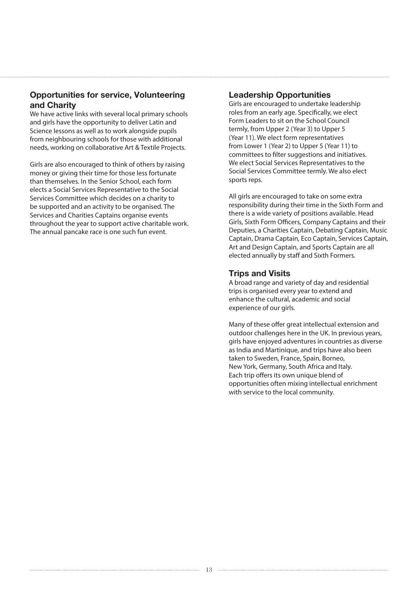### Opportunities for service, Volunteering and Charity

We have active links with several local primary schools and girls have the opportunity to deliver Latin and Science lessons as well as to work alongside pupils from neighbouring schools for those with additional needs, working on collaborative Art & Textile Projects.

Girls are also encouraged to think of others by raising money or giving their time for those less fortunate than themselves. In the Senior School, each form elects a Social Services Representative to the Social Services Committee which decides on a charity to be supported and an activity to be organised. The Services and Charities Captains organise events throughout the year to support active charitable work. The annual pancake race is one such fun event.

### Leadership Opportunities

Girls are encouraged to undertake leadership roles from an early age. Specifically, we elect Form Leaders to sit on the School Council termly, from Upper 2 (Year 3) to Upper 5 (Year 11). We elect form representatives from Lower 1 (Year 2) to Upper 5 (Year 11) to committees to filter suggestions and initiatives. We elect Social Services Representatives to the Social Services Committee termly. We also elect sports reps.

All girls are encouraged to take on some extra responsibility during their time in the Sixth Form and there is a wide variety of positions available. Head Girls, Sixth Form Officers, Company Captains and their Deputies, a Charities Captain, Debating Captain, Music Captain, Drama Captain, Eco Captain, Services Captain, Art and Design Captain, and Sports Captain are all elected annually by staff and Sixth Formers.

### Trips and Visits

A broad range and variety of day and residential trips is organised every year to extend and enhance the cultural, academic and social experience of our girls.

Many of these offer great intellectual extension and outdoor challenges here in the UK. In previous years, girls have enjoyed adventures in countries as diverse as India and Martinique, and trips have also been taken to Sweden, France, Spain, Borneo, New York, Germany, South Africa and Italy. Each trip offers its own unique blend of opportunities often mixing intellectual enrichment with service to the local community.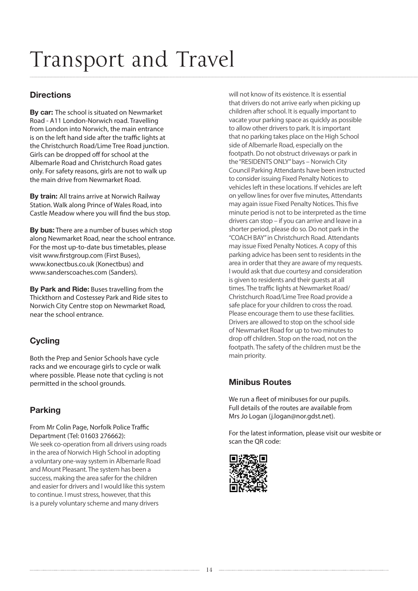### Transport and Travel

### **Directions**

**By car:** The school is situated on Newmarket Road - A11 London-Norwich road. Travelling from London into Norwich, the main entrance is on the left hand side after the traffic lights at the Christchurch Road/Lime Tree Road junction. Girls can be dropped off for school at the Albemarle Road and Christchurch Road gates only. For safety reasons, girls are not to walk up the main drive from Newmarket Road.

By train: All trains arrive at Norwich Railway Station. Walk along Prince of Wales Road, into Castle Meadow where you will find the bus stop.

By bus: There are a number of buses which stop along Newmarket Road, near the school entrance. For the most up-to-date bus timetables, please visit www.firstgroup.com (First Buses), www.konectbus.co.uk (Konectbus) and www.sanderscoaches.com (Sanders).

By Park and Ride: Buses travelling from the Thickthorn and Costessey Park and Ride sites to Norwich City Centre stop on Newmarket Road, near the school entrance.

### **Cycling**

Both the Prep and Senior Schools have cycle racks and we encourage girls to cycle or walk where possible. Please note that cycling is not permitted in the school grounds.

### Parking

From Mr Colin Page, Norfolk Police Traffic Department (Tel: 01603 276662): We seek co-operation from all drivers using roads in the area of Norwich High School in adopting a voluntary one-way system in Albemarle Road and Mount Pleasant. The system has been a success, making the area safer for the children and easier for drivers and I would like this system to continue. I must stress, however, that this is a purely voluntary scheme and many drivers

will not know of its existence. It is essential that drivers do not arrive early when picking up children after school. It is equally important to vacate your parking space as quickly as possible to allow other drivers to park. It is important that no parking takes place on the High School side of Albemarle Road, especially on the footpath. Do not obstruct driveways or park in the "RESIDENTS ONLY" bays – Norwich City Council Parking Attendants have been instructed to consider issuing Fixed Penalty Notices to vehicles left in these locations. If vehicles are left on yellow lines for over five minutes, Attendants may again issue Fixed Penalty Notices. This five minute period is not to be interpreted as the time drivers can stop – if you can arrive and leave in a shorter period, please do so. Do not park in the "COACH BAY" in Christchurch Road. Attendants may issue Fixed Penalty Notices. A copy of this parking advice has been sent to residents in the area in order that they are aware of my requests. I would ask that due courtesy and consideration is given to residents and their guests at all times. The traffic lights at Newmarket Road/ Christchurch Road/Lime Tree Road provide a safe place for your children to cross the road. Please encourage them to use these facilities. Drivers are allowed to stop on the school side of Newmarket Road for up to two minutes to drop off children. Stop on the road, not on the footpath. The safety of the children must be the main priority.

### Minibus Routes

We run a fleet of minibuses for our pupils. Full details of the routes are available from Mrs Jo Logan (j.logan@nor.gdst.net).

For the latest information, please visit our wesbite or scan the QR code:

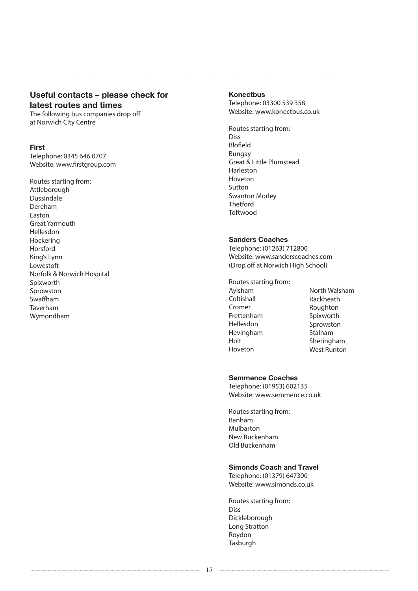### Useful contacts – please check for latest routes and times

The following bus companies drop off at Norwich City Centre

#### First

Telephone: 0345 646 0707 Website: www.firstgroup.com

Routes starting from: **Attleborough** Dussindale Dereham Easton Great Yarmouth Hellesdon **Hockering** Horsford King's Lynn Lowestoft Norfolk & Norwich Hospital Spixworth **Sprowston** Swaffham Taverham Wymondham

#### **Konectbus**

Telephone: 03300 539 358 Website: www.konectbus.co.uk

Routes starting from: Diss Blofield Bungay Great & Little Plumstead Harleston Hoveton Sutton Swanton Morley Thetford **Toftwood** 

#### Sanders Coaches

Telephone: (01263) 712800 Website: www.sanderscoaches.com (Drop off at Norwich High School)

- Routes starting from:
- Aylsham Coltishall Cromer Frettenham Hellesdon Hevingham Holt Hoveton

North Walsham Rackheath Roughton Spixworth Sprowston Stalham Sheringham West Runton

#### Semmence Coaches

Telephone: (01953) 602135 Website: www.semmence.co.uk

Routes starting from: Banham Mulbarton New Buckenham Old Buckenham

#### Simonds Coach and Travel

Telephone: (01379) 647300 Website: www.simonds.co.uk

Routes starting from: Diss Dickleborough Long Stratton Roydon Tasburgh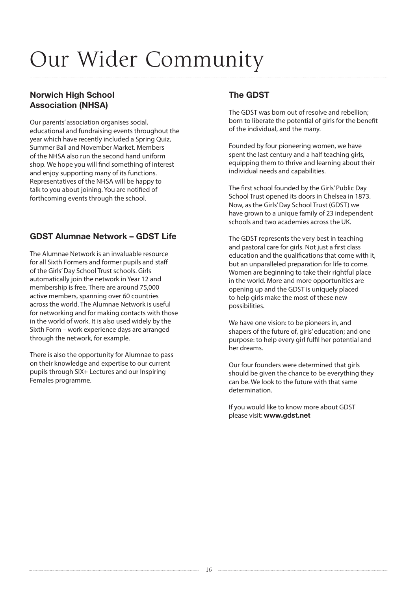### Our Wider Community

### Norwich High School Association (NHSA)

Our parents' association organises social, educational and fundraising events throughout the year which have recently included a Spring Quiz, Summer Ball and November Market. Members of the NHSA also run the second hand uniform shop. We hope you will find something of interest and enjoy supporting many of its functions. Representatives of the NHSA will be happy to talk to you about joining. You are notified of forthcoming events through the school.

### GDST Alumnae Network – GDST Life

The Alumnae Network is an invaluable resource for all Sixth Formers and former pupils and staff of the Girls' Day School Trust schools. Girls automatically join the network in Year 12 and membership is free. There are around 75,000 active members, spanning over 60 countries across the world. The Alumnae Network is useful for networking and for making contacts with those in the world of work. It is also used widely by the Sixth Form – work experience days are arranged through the network, for example.

There is also the opportunity for Alumnae to pass on their knowledge and expertise to our current pupils through SIX+ Lectures and our Inspiring Females programme.

### The GDST

The GDST was born out of resolve and rebellion; born to liberate the potential of girls for the benefit of the individual, and the many.

Founded by four pioneering women, we have spent the last century and a half teaching girls, equipping them to thrive and learning about their individual needs and capabilities.

The first school founded by the Girls' Public Day School Trust opened its doors in Chelsea in 1873. Now, as the Girls' Day School Trust (GDST) we have grown to a unique family of 23 independent schools and two academies across the UK.

The GDST represents the very best in teaching and pastoral care for girls. Not just a first class education and the qualifications that come with it, but an unparalleled preparation for life to come. Women are beginning to take their rightful place in the world. More and more opportunities are opening up and the GDST is uniquely placed to help girls make the most of these new possibilities.

We have one vision: to be pioneers in, and shapers of the future of, girls' education; and one purpose: to help every girl fulfil her potential and her dreams.

Our four founders were determined that girls should be given the chance to be everything they can be. We look to the future with that same determination.

If you would like to know more about GDST please visit: www.gdst.net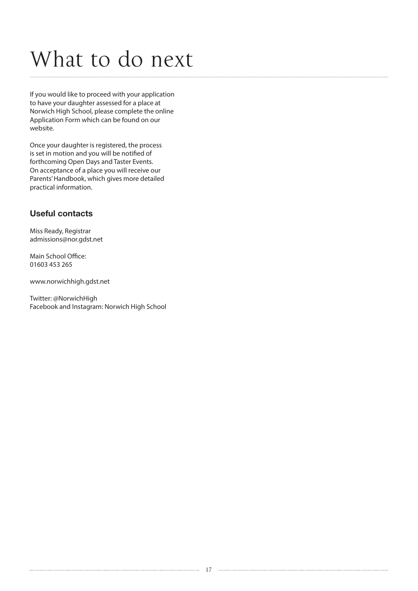### What to do next

If you would like to proceed with your application to have your daughter assessed for a place at Norwich High School, please complete the online Application Form which can be found on our website.

Once your daughter is registered, the process is set in motion and you will be notified of forthcoming Open Days and Taster Events. On acceptance of a place you will receive our Parents' Handbook, which gives more detailed practical information.

### Useful contacts

Miss Ready, Registrar admissions@nor.gdst.net

Main School Office: 01603 453 265

www.norwichhigh.gdst.net

Twitter: @NorwichHigh Facebook and Instagram: Norwich High School